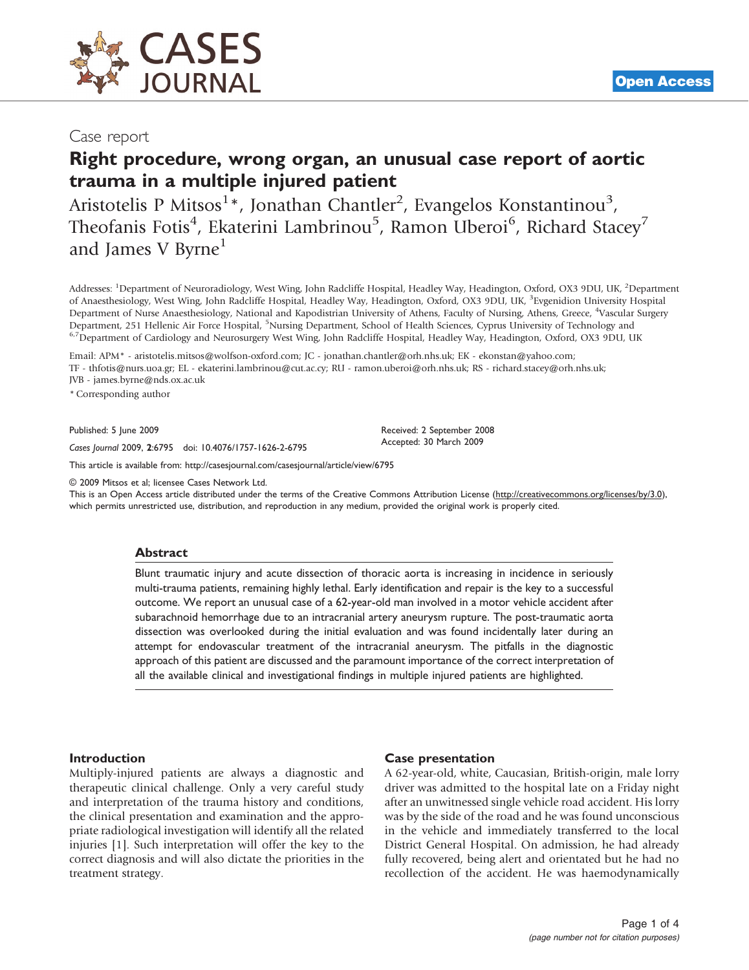

## Case report

# Right procedure, wrong organ, an unusual case report of aortic trauma in a multiple injured patient

Aristotelis P Mitsos<sup>1</sup>\*, Jonathan Chantler<sup>2</sup>, Evangelos Konstantinou<sup>3</sup>, Theofanis Fotis<sup>4</sup>, Ekaterini Lambrinou<sup>5</sup>, Ramon Uberoi<sup>6</sup>, Richard Stacey<sup>7</sup> and James V Byrne<sup>1</sup>

Addresses: <sup>1</sup>Department of Neuroradiology, West Wing, John Radcliffe Hospital, Headley Way, Headington, Oxford, OX3 9DU, UK, <sup>2</sup>Department of Anaesthesiology, West Wing, John Radcliffe Hospital, Headley Way, Headington, Oxford, OX3 9DU, UK, <sup>3</sup>Evgenidion University Hospital Department of Nurse Anaesthesiology, National and Kapodistrian University of Athens, Faculty of Nursing, Athens, Greece, <sup>4</sup>Vascular Surgery Department, 251 Hellenic Air Force Hospital, <sup>5</sup>Nursing Department, School of Health Sciences, Cyprus University of Technology and <sup>6,7</sup>Department of Cardiology and Neurosurgery West Wing, John Radcliffe Hospital, Headley Way, Headington, Oxford, OX3 9DU, UK

Email: APM\* - aristotelis.mitsos@wolfson-oxford.com; JC - jonathan.chantler@orh.nhs.uk; EK - ekonstan@yahoo.com; TF - thfotis@nurs.uoa.gr; EL - ekaterini.lambrinou@cut.ac.cy; RU - ramon.uberoi@orh.nhs.uk; RS - richard.stacey@orh.nhs.uk; JVB - james.byrne@nds.ox.ac.uk

\* Corresponding author

Published: 5 June 2009 Received: 2 September 2008

Accepted: 30 March 2009 Cases Journal 2009, <sup>2</sup>:6795 doi: 10.4076/1757-1626-2-6795

This article is available from:<http://casesjournal.com/casesjournal/article/view/6795>

© 2009 Mitsos et al; licensee Cases Network Ltd.

This is an Open Access article distributed under the terms of the Creative Commons Attribution License [\(http://creativecommons.org/licenses/by/3.0\)](http://creativecommons.org/licenses/by/3.0), which permits unrestricted use, distribution, and reproduction in any medium, provided the original work is properly cited.

#### Abstract

Blunt traumatic injury and acute dissection of thoracic aorta is increasing in incidence in seriously multi-trauma patients, remaining highly lethal. Early identification and repair is the key to a successful outcome. We report an unusual case of a 62-year-old man involved in a motor vehicle accident after subarachnoid hemorrhage due to an intracranial artery aneurysm rupture. The post-traumatic aorta dissection was overlooked during the initial evaluation and was found incidentally later during an attempt for endovascular treatment of the intracranial aneurysm. The pitfalls in the diagnostic approach of this patient are discussed and the paramount importance of the correct interpretation of all the available clinical and investigational findings in multiple injured patients are highlighted.

#### Introduction

Multiply-injured patients are always a diagnostic and therapeutic clinical challenge. Only a very careful study and interpretation of the trauma history and conditions, the clinical presentation and examination and the appropriate radiological investigation will identify all the related injuries [[1](#page-3-0)]. Such interpretation will offer the key to the correct diagnosis and will also dictate the priorities in the treatment strategy.

#### Case presentation

A 62-year-old, white, Caucasian, British-origin, male lorry driver was admitted to the hospital late on a Friday night after an unwitnessed single vehicle road accident. His lorry was by the side of the road and he was found unconscious in the vehicle and immediately transferred to the local District General Hospital. On admission, he had already fully recovered, being alert and orientated but he had no recollection of the accident. He was haemodynamically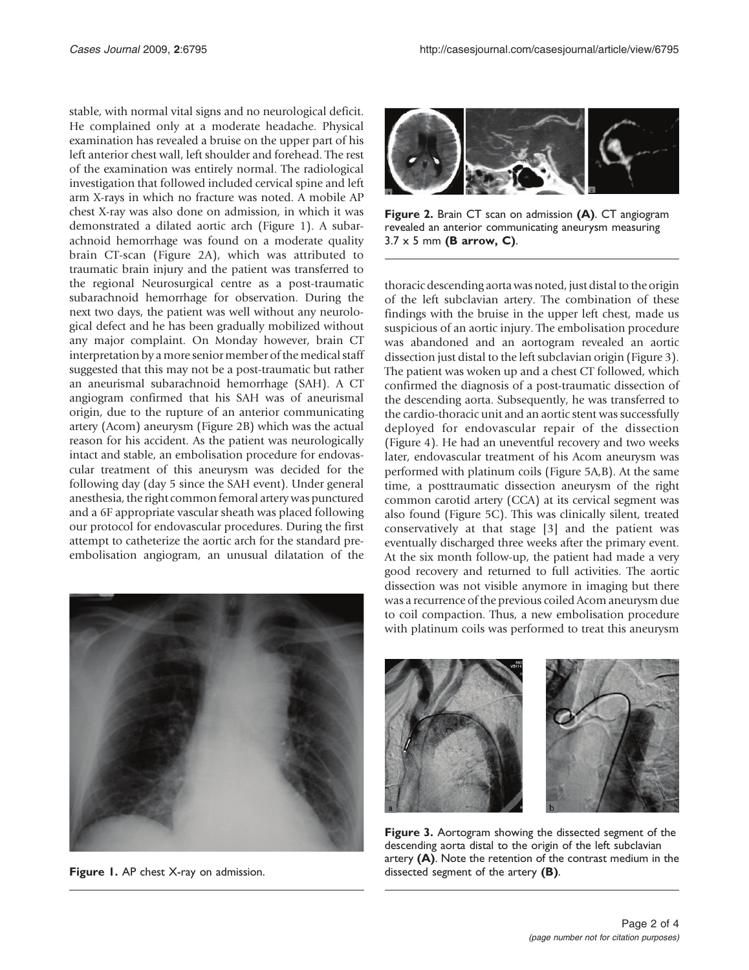stable, with normal vital signs and no neurological deficit. He complained only at a moderate headache. Physical examination has revealed a bruise on the upper part of his left anterior chest wall, left shoulder and forehead. The rest of the examination was entirely normal. The radiological investigation that followed included cervical spine and left arm X-rays in which no fracture was noted. A mobile AP chest X-ray was also done on admission, in which it was demonstrated a dilated aortic arch (Figure 1). A subarachnoid hemorrhage was found on a moderate quality brain CT-scan (Figure 2A), which was attributed to traumatic brain injury and the patient was transferred to the regional Neurosurgical centre as a post-traumatic subarachnoid hemorrhage for observation. During the next two days, the patient was well without any neurological defect and he has been gradually mobilized without any major complaint. On Monday however, brain CT interpretation by a more senior member of the medical staff suggested that this may not be a post-traumatic but rather an aneurismal subarachnoid hemorrhage (SAH). A CT angiogram confirmed that his SAH was of aneurismal origin, due to the rupture of an anterior communicating artery (Acom) aneurysm (Figure 2B) which was the actual reason for his accident. As the patient was neurologically intact and stable, an embolisation procedure for endovascular treatment of this aneurysm was decided for the following day (day 5 since the SAH event). Under general anesthesia, the right common femoral artery was punctured and a 6F appropriate vascular sheath was placed following our protocol for endovascular procedures. During the first attempt to catheterize the aortic arch for the standard preembolisation angiogram, an unusual dilatation of the



Figure 1. AP chest X-ray on admission.



Figure 2. Brain CT scan on admission (A). CT angiogram revealed an anterior communicating aneurysm measuring  $3.7 \times 5$  mm (**B** arrow, **C**).

thoracic descending aorta was noted, just distal to the origin of the left subclavian artery. The combination of these findings with the bruise in the upper left chest, made us suspicious of an aortic injury. The embolisation procedure was abandoned and an aortogram revealed an aortic dissection just distal to the left subclavian origin (Figure 3). The patient was woken up and a chest CT followed, which confirmed the diagnosis of a post-traumatic dissection of the descending aorta. Subsequently, he was transferred to the cardio-thoracic unit and an aortic stent was successfully deployed for endovascular repair of the dissection ([Figure 4](#page-2-0)). He had an uneventful recovery and two weeks later, endovascular treatment of his Acom aneurysm was performed with platinum coils ([Figure 5A,B](#page-2-0)). At the same time, a posttraumatic dissection aneurysm of the right common carotid artery (CCA) at its cervical segment was also found ([Figure 5C\)](#page-2-0). This was clinically silent, treated conservatively at that stage [[3](#page-3-0)] and the patient was eventually discharged three weeks after the primary event. At the six month follow-up, the patient had made a very good recovery and returned to full activities. The aortic dissection was not visible anymore in imaging but there was a recurrence of the previous coiled Acom aneurysm due to coil compaction. Thus, a new embolisation procedure with platinum coils was performed to treat this aneurysm



Figure 3. Aortogram showing the dissected segment of the descending aorta distal to the origin of the left subclavian artery  $(A)$ . Note the retention of the contrast medium in the dissected segment of the artery  $(B)$ .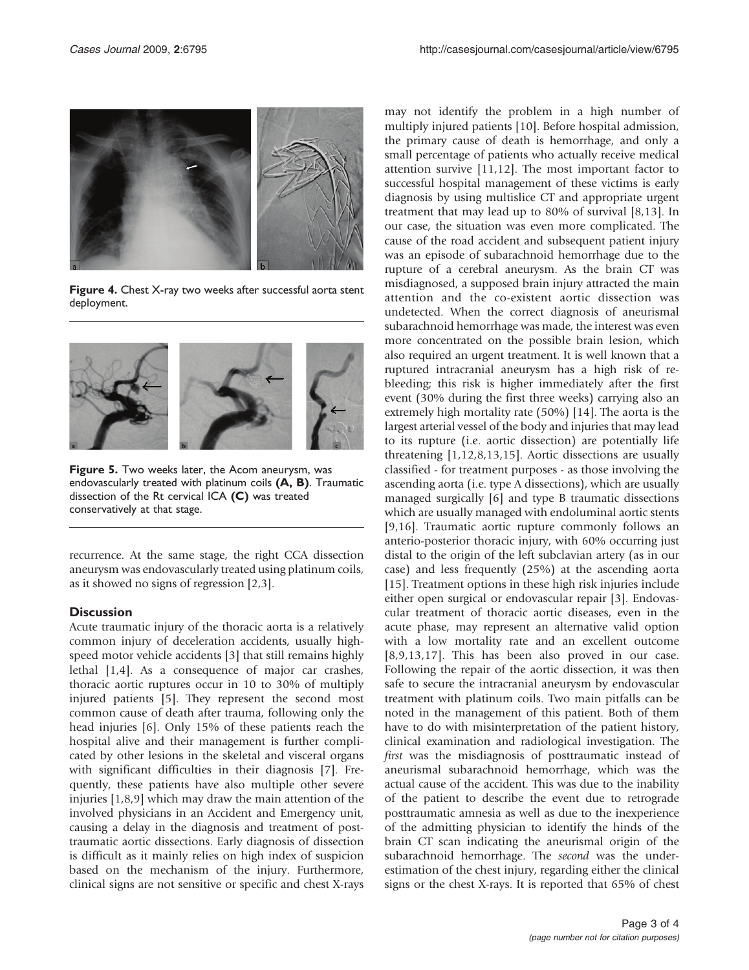<span id="page-2-0"></span>

Figure 4. Chest X-ray two weeks after successful aorta stent deployment.



Figure 5. Two weeks later, the Acom aneurysm, was endovascularly treated with platinum coils (A, B). Traumatic dissection of the Rt cervical ICA (C) was treated conservatively at that stage.

recurrence. At the same stage, the right CCA dissection aneurysm was endovascularly treated using platinum coils, as it showed no signs of regression [[2,3\]](#page-3-0).

#### **Discussion**

Acute traumatic injury of the thoracic aorta is a relatively common injury of deceleration accidents, usually highspeed motor vehicle accidents [\[3\]](#page-3-0) that still remains highly lethal [[1](#page-3-0),[4\]](#page-3-0). As a consequence of major car crashes, thoracic aortic ruptures occur in 10 to 30% of multiply injured patients [\[5\]](#page-3-0). They represent the second most common cause of death after trauma, following only the head injuries [[6\]](#page-3-0). Only 15% of these patients reach the hospital alive and their management is further complicated by other lesions in the skeletal and visceral organs with significant difficulties in their diagnosis [\[7\]](#page-3-0). Frequently, these patients have also multiple other severe injuries [[1,8,9\]](#page-3-0) which may draw the main attention of the involved physicians in an Accident and Emergency unit, causing a delay in the diagnosis and treatment of posttraumatic aortic dissections. Early diagnosis of dissection is difficult as it mainly relies on high index of suspicion based on the mechanism of the injury. Furthermore, clinical signs are not sensitive or specific and chest X-rays

may not identify the problem in a high number of multiply injured patients [\[10\]](#page-3-0). Before hospital admission, the primary cause of death is hemorrhage, and only a small percentage of patients who actually receive medical attention survive [[11](#page-3-0),[12\]](#page-3-0). The most important factor to successful hospital management of these victims is early diagnosis by using multislice CT and appropriate urgent treatment that may lead up to 80% of survival [\[8,13\]](#page-3-0). In our case, the situation was even more complicated. The cause of the road accident and subsequent patient injury was an episode of subarachnoid hemorrhage due to the rupture of a cerebral aneurysm. As the brain CT was misdiagnosed, a supposed brain injury attracted the main attention and the co-existent aortic dissection was undetected. When the correct diagnosis of aneurismal subarachnoid hemorrhage was made, the interest was even more concentrated on the possible brain lesion, which also required an urgent treatment. It is well known that a ruptured intracranial aneurysm has a high risk of rebleeding; this risk is higher immediately after the first event (30% during the first three weeks) carrying also an extremely high mortality rate (50%) [[14\]](#page-3-0). The aorta is the largest arterial vessel of the body and injuries that may lead to its rupture (i.e. aortic dissection) are potentially life threatening [\[1,12,8,13,15\]](#page-3-0). Aortic dissections are usually classified - for treatment purposes - as those involving the ascending aorta (i.e. type A dissections), which are usually managed surgically [\[6\]](#page-3-0) and type B traumatic dissections which are usually managed with endoluminal aortic stents [[9](#page-3-0),[16](#page-3-0)]. Traumatic aortic rupture commonly follows an anterio-posterior thoracic injury, with 60% occurring just distal to the origin of the left subclavian artery (as in our case) and less frequently (25%) at the ascending aorta [[15\]](#page-3-0). Treatment options in these high risk injuries include either open surgical or endovascular repair [[3](#page-3-0)]. Endovascular treatment of thoracic aortic diseases, even in the acute phase, may represent an alternative valid option with a low mortality rate and an excellent outcome [[8](#page-3-0),[9](#page-3-0),[13,17](#page-3-0)]. This has been also proved in our case. Following the repair of the aortic dissection, it was then safe to secure the intracranial aneurysm by endovascular treatment with platinum coils. Two main pitfalls can be noted in the management of this patient. Both of them have to do with misinterpretation of the patient history, clinical examination and radiological investigation. The first was the misdiagnosis of posttraumatic instead of aneurismal subarachnoid hemorrhage, which was the actual cause of the accident. This was due to the inability of the patient to describe the event due to retrograde posttraumatic amnesia as well as due to the inexperience of the admitting physician to identify the hinds of the brain CT scan indicating the aneurismal origin of the subarachnoid hemorrhage. The *second* was the underestimation of the chest injury, regarding either the clinical signs or the chest X-rays. It is reported that 65% of chest